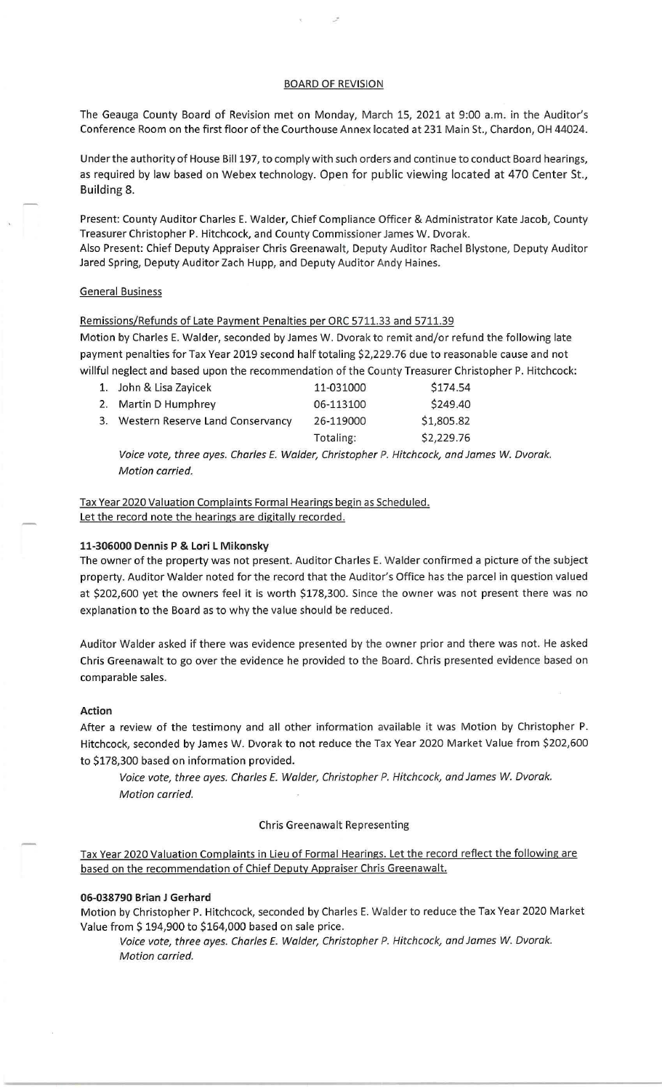# BOARD OF REVISION

The Geauga County Board of Revision met on Monday, March 15, 2021 at 9:00 a.m. in the Auditor's Conference Room on the first floor of the Courthouse Annex located at 231 Main St., Chardon, OH 44024.

Under the authority of House Bill197, to comply with such orders and continue to conduct Board hearings, as required by law based on Webex technology. Open for public viewing located at 470 Center St., Building 8.

Present: County Auditor Charles E. Walder, Chief Compliance Officer & Administrator Kate Jacob, County Treasurer Christopher P. Hitchcock, and County Commissioner James W. Dvorak. Also Present: Chief Deputy Appraiser Chris Greenawalt, Deputy Auditor Rachel Blystone, Deputy Auditor Jared Spring, Deputy Auditor Zach Hupp, and Deputy Auditor Andy Haines.

# General Business

Remissions/Refunds of Late Payment Penalties per ORC 5711.33 and 5711.39 Motion by Charles E. Walder, seconded by James W. Dvorak to remit and/or refund the following late payment penalties for Tax Year 2019 second half totaling \$2,229.76 due to reasonable cause and not willful neglect and based upon the recommendation of the County Treasurer Christopher P. Hitchcock:

| 1. John & Lisa Zayicek              | 11-031000 | \$174.54   |
|-------------------------------------|-----------|------------|
| 2. Martin D Humphrey                | 06-113100 | \$249.40   |
| 3. Western Reserve Land Conservancy | 26-119000 | \$1,805.82 |
|                                     | Totaling: | \$2,229.76 |

Voice vote, three ayes. Charles E. Walder, Christopher P. Hitchcock, and James *W.* Dvorak. Motion carried.

Tax Year 2020 Valuation Complaints Formal Hearings begin as Scheduled. Let the record note the hearings are digitally recorded.

# **11-306000 Dennis P & Lori L Mikonsky**

The owner of the property was not present. Auditor Charles E. Walder confirmed a picture of the subject property. Auditor Walder noted for the record that the Auditor's Office has the parcel in question valued at \$202,600 yet the owners feel it is worth \$178,300. Since the owner was not present there was no explanation to the Board as to why the value should be reduced.

Auditor Walder asked if there was evidence presented by the owner prior and there was not. He asked Chris Greenawalt to go over the evidence he provided to the Board. Chris presented evidence based on comparable sales.

#### **Action**

After a review of the testimony and all other information available it was Motion by Christopher P. Hitchcock, seconded by James W. Dvorak to not reduce the Tax Year 2020 Market Value from \$202,600 to \$178,300 based on information provided.

Voice vote, three ayes. Charles E. Walder, Christopher P. Hitchcock, and James *W.* Dvorak. Motion carried.

#### Chris Greenawalt Representing

Tax Year 2020 Valuation Complaints in Lieu of Formal Hearings. Let the record reflect the following are based on the recommendation of Chief Deputy Appraiser Chris Greenawalt.

## **06-038790 Brian J Gerhard**

Motion by Christopher P. Hitchcock, seconded by Charles E. Walder to reduce the Tax Year 2020 Market Value from \$ 194,900 to \$164,000 based on sale price.

Voice vote, three ayes. Charles E. Walder, Christopher P. Hitchcock, and James *W.* Dvorak. Motion carried.